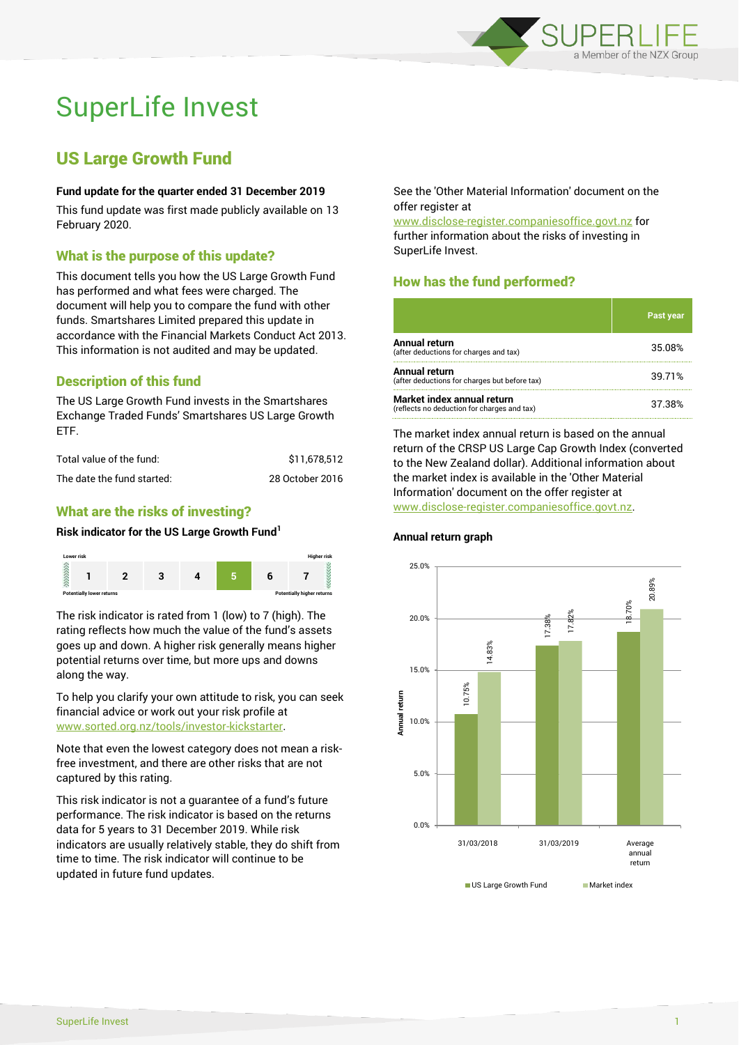

# SuperLife Invest

# US Large Growth Fund

## **Fund update for the quarter ended 31 December 2019**

This fund update was first made publicly available on 13 February 2020.

## What is the purpose of this update?

This document tells you how the US Large Growth Fund has performed and what fees were charged. The document will help you to compare the fund with other funds. Smartshares Limited prepared this update in accordance with the Financial Markets Conduct Act 2013. This information is not audited and may be updated.

# Description of this fund

The US Large Growth Fund invests in the Smartshares Exchange Traded Funds' Smartshares US Large Growth ETF.

| Total value of the fund:   | \$11.678.512    |
|----------------------------|-----------------|
| The date the fund started: | 28 October 2016 |

# What are the risks of investing?

#### **Risk indicator for the US Large Growth Fund<sup>1</sup>**



The risk indicator is rated from 1 (low) to 7 (high). The rating reflects how much the value of the fund's assets goes up and down. A higher risk generally means higher potential returns over time, but more ups and downs along the way.

To help you clarify your own attitude to risk, you can seek financial advice or work out your risk profile at [www.sorted.org.nz/tools/investor-kickstarter.](http://www.sorted.org.nz/tools/investor-kickstarter)

Note that even the lowest category does not mean a riskfree investment, and there are other risks that are not captured by this rating.

This risk indicator is not a guarantee of a fund's future performance. The risk indicator is based on the returns data for 5 years to 31 December 2019. While risk indicators are usually relatively stable, they do shift from time to time. The risk indicator will continue to be updated in future fund updates.

See the 'Other Material Information' document on the offer register at

www.disclose-register.companiesoffice.govt.nz for further information about the risks of investing in SuperLife Invest.

# How has the fund performed?

|                                                                           | <b>Past year</b> |
|---------------------------------------------------------------------------|------------------|
| <b>Annual return</b><br>(after deductions for charges and tax)            | 35.08%           |
| <b>Annual return</b><br>(after deductions for charges but before tax)     | 39.71%           |
| Market index annual return<br>(reflects no deduction for charges and tax) | 37.38%           |

The market index annual return is based on the annual return of the CRSP US Large Cap Growth Index (converted to the New Zealand dollar). Additional information about the market index is available in the 'Other Material Information' document on the offer register at www.disclose-register.companiesoffice.govt.nz.



#### **Annual return graph**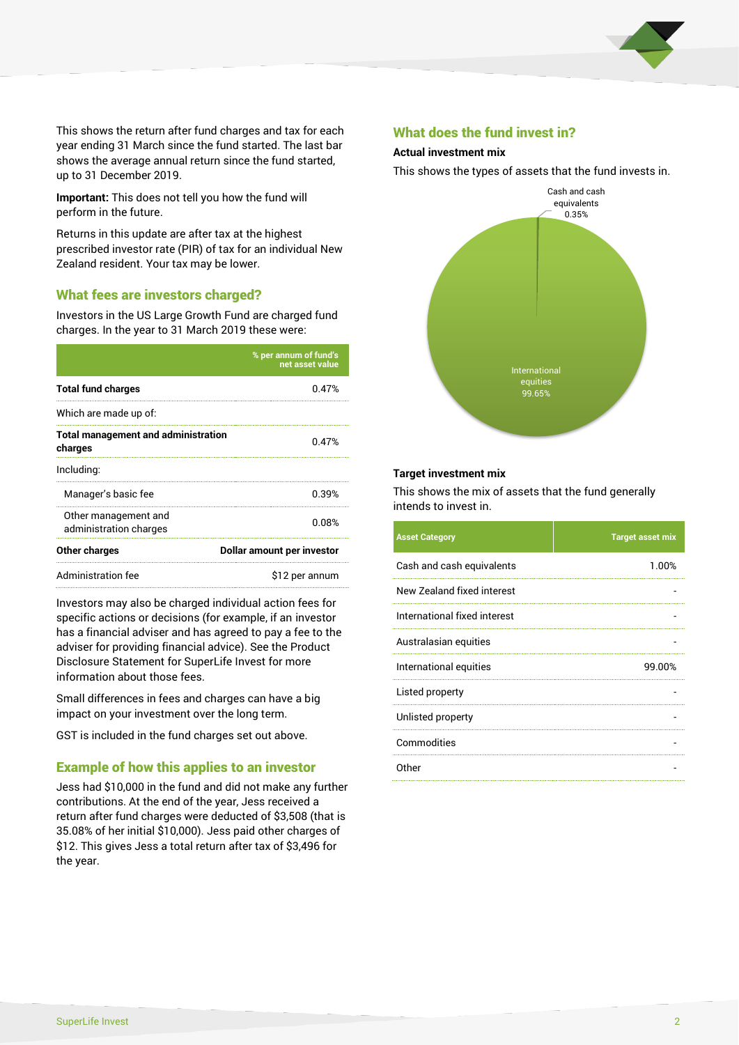

This shows the return after fund charges and tax for each year ending 31 March since the fund started. The last bar shows the average annual return since the fund started, up to 31 December 2019.

**Important:** This does not tell you how the fund will perform in the future.

Returns in this update are after tax at the highest prescribed investor rate (PIR) of tax for an individual New Zealand resident. Your tax may be lower.

## What fees are investors charged?

Investors in the US Large Growth Fund are charged fund charges. In the year to 31 March 2019 these were:

|                                                       | % per annum of fund's<br>net asset value |  |
|-------------------------------------------------------|------------------------------------------|--|
| <b>Total fund charges</b>                             | 0.47%                                    |  |
| Which are made up of:                                 |                                          |  |
| <b>Total management and administration</b><br>charges | 0.47%                                    |  |
| Including:                                            |                                          |  |
| Manager's basic fee                                   | 0.39%                                    |  |
| Other management and<br>administration charges        | 0.08%                                    |  |
| <b>Other charges</b>                                  | Dollar amount per investor               |  |
| Administration fee                                    | \$12 per annum                           |  |

Investors may also be charged individual action fees for specific actions or decisions (for example, if an investor has a financial adviser and has agreed to pay a fee to the adviser for providing financial advice). See the Product Disclosure Statement for SuperLife Invest for more information about those fees.

Small differences in fees and charges can have a big impact on your investment over the long term.

GST is included in the fund charges set out above.

## Example of how this applies to an investor

Jess had \$10,000 in the fund and did not make any further contributions. At the end of the year, Jess received a return after fund charges were deducted of \$3,508 (that is 35.08% of her initial \$10,000). Jess paid other charges of \$12. This gives Jess a total return after tax of \$3,496 for the year.

#### What does the fund invest in?

#### **Actual investment mix**

This shows the types of assets that the fund invests in.



#### **Target investment mix**

This shows the mix of assets that the fund generally intends to invest in.

| <b>Asset Category</b>        | <b>Target asset mix</b> |
|------------------------------|-------------------------|
| Cash and cash equivalents    | 1.00%                   |
| New Zealand fixed interest   |                         |
| International fixed interest |                         |
| Australasian equities        |                         |
| International equities       | 99.00%                  |
| Listed property              |                         |
| Unlisted property            |                         |
| Commodities                  |                         |
| Other                        |                         |